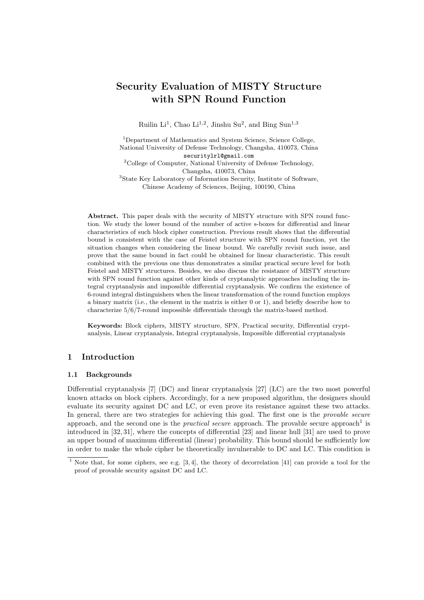# **Security Evaluation of MISTY Structure with SPN Round Function**

Ruilin Li<sup>1</sup>, Chao Li<sup>1,2</sup>, Jinshu Su<sup>2</sup>, and Bing Sun<sup>1,3</sup>

<sup>1</sup>Department of Mathematics and System Science, Science College, National University of Defense Technology, Changsha, 410073, China securitylrl@gmail.com <sup>2</sup>College of Computer, National University of Defense Technology, Changsha, 410073, China <sup>3</sup>State Key Laboratory of Information Security, Institute of Software, Chinese Academy of Sciences, Beijing, 100190, China

Abstract. This paper deals with the security of MISTY structure with SPN round function. We study the lower bound of the number of active s-boxes for differential and linear characteristics of such block cipher construction. Previous result shows that the differential bound is consistent with the case of Feistel structure with SPN round function, yet the situation changes when considering the linear bound. We carefully revisit such issue, and prove that the same bound in fact could be obtained for linear characteristic. This result combined with the previous one thus demonstrates a similar practical secure level for both Feistel and MISTY structures. Besides, we also discuss the resistance of MISTY structure with SPN round function against other kinds of cryptanalytic approaches including the integral cryptanalysis and impossible differential cryptanalysis. We confirm the existence of 6-round integral distinguishers when the linear transformation of the round function employs a binary matrix (i.e., the element in the matrix is either 0 or 1), and briefly describe how to characterize 5*/*6*/*7-round impossible differentials through the matrix-based method.

**Keywords:** Block ciphers, MISTY structure, SPN, Practical security, Differential cryptanalysis, Linear cryptanalysis, Integral cryptanalysis, Impossible differential cryptanalysis

# **1 Introduction**

### **1.1 Backgrounds**

Differential cryptanalysis [7] (DC) and linear cryptanalysis [27] (LC) are the two most powerful known attacks on block ciphers. Accordingly, for a new proposed algorithm, the designers should evaluate its security against DC and LC, or even prove its resistance against these two attacks. In general, there are two strategies for achieving this goal. The first one is the *provable secure* approach, and the second one is the *practical secure* approach. The provable secure approach<sup>1</sup> is introduced in [32, 31], where the concepts of differential [23] and linear hull [31] are used to prove an upper bound of maximum differential (linear) probability. This bound should be sufficiently low in order to make the whole cipher be theoretically invulnerable to DC and LC. This condition is

<sup>&</sup>lt;sup>1</sup> Note that, for some ciphers, see e.g. [3, 4], the theory of decorrelation [41] can provide a tool for the proof of provable security against DC and LC.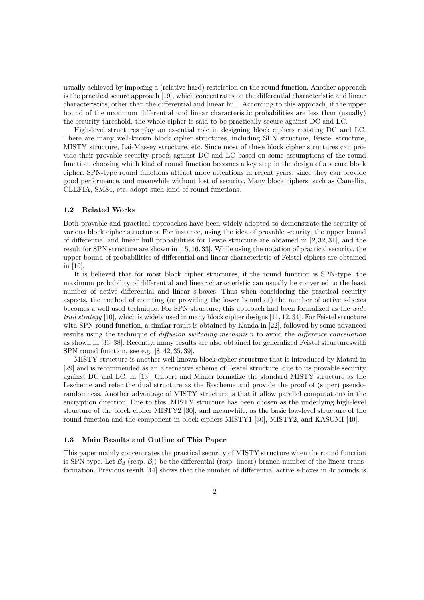usually achieved by imposing a (relative hard) restriction on the round function. Another approach is the practical secure approach [19], which concentrates on the differential characteristic and linear characteristics, other than the differential and linear hull. According to this approach, if the upper bound of the maximum differential and linear characteristic probabilities are less than (usually) the security threshold, the whole cipher is said to be practically secure against DC and LC.

High-level structures play an essential role in designing block ciphers resisting DC and LC. There are many well-known block cipher structures, including SPN structure, Feistel structure, MISTY structure, Lai-Massey structure, etc. Since most of these block cipher structures can provide their provable security proofs against DC and LC based on some assumptions of the round function, choosing which kind of round function becomes a key step in the design of a secure block cipher. SPN-type round functions attract more attentions in recent years, since they can provide good performance, and meanwhile without lost of security. Many block ciphers, such as Camellia, CLEFIA, SMS4, etc. adopt such kind of round functions.

#### **1.2 Related Works**

Both provable and practical approaches have been widely adopted to demonstrate the security of various block cipher structures. For instance, using the idea of provable security, the upper bound of differential and linear hull probabilities for Feiste structure are obtained in [2, 32, 31], and the result for SPN structure are shown in [15, 16, 33]. While using the notation of practical security, the upper bound of probabilities of differential and linear characteristic of Feistel ciphers are obtained in [19].

It is believed that for most block cipher structures, if the round function is SPN-type, the maximum probability of differential and linear characteristic can usually be converted to the least number of active differential and linear s-boxes. Thus when considering the practical security aspects, the method of counting (or providing the lower bound of) the number of active s-boxes becomes a well used technique. For SPN structure, this approach had been formalized as the *wide trail strategy* [10], which is widely used in many block cipher designs [11, 12, 34]. For Feistel structure with SPN round function, a similar result is obtained by Kanda in [22], followed by some advanced results using the technique of *diffusion switching mechanism* to avoid the *difference cancellation* as shown in [36–38]. Recently, many results are also obtained for generalized Feistel structureswith SPN round function, see e.g. [8, 42, 35, 39].

MISTY structure is another well-known block cipher structure that is introduced by Matsui in [29] and is recommended as an alternative scheme of Feistel structure, due to its provable security against DC and LC. In [13], Gilbert and Minier formalize the standard MISTY structure as the L-scheme and refer the dual structure as the R-scheme and provide the proof of (super) pseudorandomness. Another advantage of MISTY structure is that it allow parallel computations in the encryption direction. Due to this, MISTY structure has been chosen as the underlying high-level structure of the block cipher MISTY2 [30], and meanwhile, as the basic low-level structure of the round function and the component in block ciphers MISTY1 [30], MISTY2, and KASUMI [40].

#### **1.3 Main Results and Outline of This Paper**

This paper mainly concentrates the practical security of MISTY structure when the round function is SPN-type. Let  $\mathcal{B}_d$  (resp.  $\mathcal{B}_l$ ) be the differential (resp. linear) branch number of the linear transformation. Previous result [44] shows that the number of differential active s-boxes in 4*r* rounds is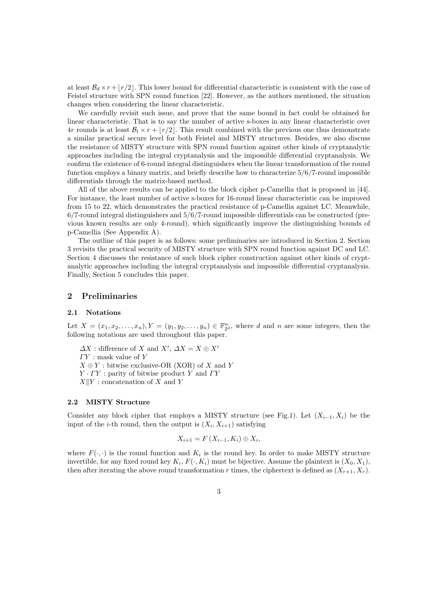at least  $B_d \times r + \lfloor r/2 \rfloor$ . This lower bound for differential characteristic is consistent with the case of Feistel structure with SPN round function [22]. However, as the authors mentioned, the situation changes when considering the linear characteristic.

We carefully revisit such issue, and prove that the same bound in fact could be obtained for linear characteristic. That is to say the number of active s-boxes in any linear characteristic over  $4r$  rounds is at least  $B_l \times r + |r/2|$ . This result combined with the previous one thus demonstrate a similar practical secure level for both Feistel and MISTY structures. Besides, we also discuss the resistance of MISTY structure with SPN round function against other kinds of cryptanalytic approaches including the integral cryptanalysis and the impossible differential cryptanalysis. We confirm the existence of 6-round integral distinguishers when the linear transformation of the round function employs a binary matrix, and briefly describe how to characterize 5*/*6*/*7-round impossible differentials through the matrix-based method.

All of the above results can be applied to the block cipher p-Camellia that is proposed in [44]. For instance, the least number of active s-boxes for 16-round linear characteristic can be improved from 15 to 22, which demonstrates the practical resistance of p-Camellia against LC. Meanwhile, 6*/*7-round integral distinguishers and 5*/*6*/*7-round impossible differentials can be constructed (previous known results are only 4-round), which significantly improve the distinguishing bounds of p-Camellia (See Appendix A).

The outline of this paper is as follows: some preliminaries are introduced in Section 2. Section 3 revisits the practical security of MISTY structure with SPN round function against DC and LC. Section 4 discusses the resistance of such block cipher construction against other kinds of cryptanalytic approaches including the integral cryptanalysis and impossible differential cryptanalysis. Finally, Section 5 concludes this paper.

#### **2 Preliminaries**

#### **2.1 Notations**

Let  $X = (x_1, x_2, \ldots, x_n), Y = (y_1, y_2, \ldots, y_n) \in \mathbb{F}_{2^d}^n$ , where *d* and *n* are some integers, then the following notations are used throughout this paper.

 $\Delta X$ : difference of *X* and  $X'$ ,  $\Delta X = X \oplus X'$ *Γ Y* : mask value of *Y*  $X \oplus Y$ : bitwise exclusive-OR (XOR) of *X* and *Y Y · Γ Y* : parity of bitwise product *Y* and *Γ Y X∥Y* : concatenation of *X* and *Y*

# **2.2 MISTY Structure**

Consider any block cipher that employs a MISTY structure (see Fig.1). Let  $(X_{i-1}, X_i)$  be the input of the *i*-th round, then the output is  $(X_i, X_{i+1})$  satisfying

$$
X_{i+1} = F(X_{i-1}, K_i) \oplus X_i,
$$

where  $F(\cdot, \cdot)$  is the round function and  $K_i$  is the round key. In order to make MISTY structure invertible, for any fixed round key  $K_i$ ,  $F(\cdot, K_i)$  must be bijective. Assume the plaintext is  $(X_0, X_1)$ , then after iterating the above round transformation *r* times, the ciphertext is defined as  $(X_{r+1}, X_r)$ .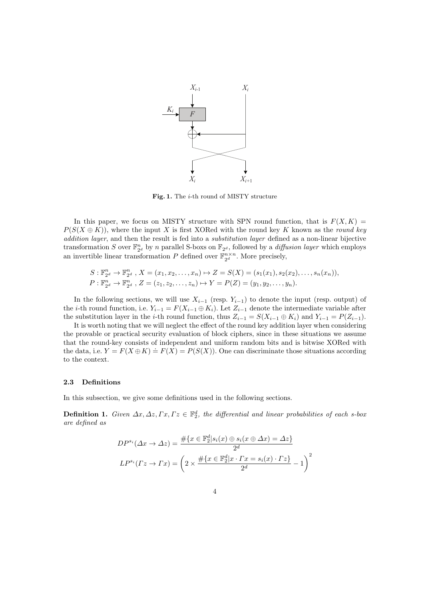

**Fig. 1.** The *i*-th round of MISTY structure

In this paper, we focus on MISTY structure with SPN round function, that is  $F(X,K)$  $P(S(X \oplus K))$ , where the input *X* is first XORed with the round key *K* known as the *round key addition layer*, and then the result is fed into a *substitution layer* defined as a non-linear bijective transformation *S* over  $\mathbb{F}_{2^d}^n$  by *n* parallel S-boxs on  $\mathbb{F}_{2^d}$ , followed by a *diffusion layer* which employs an invertible linear transformation *P* defined over  $\mathbb{F}_{2^d}^{n \times n}$ . More precisely,

$$
S: \mathbb{F}_{2^d}^n \to \mathbb{F}_{2^d}^n, X = (x_1, x_2, \dots, x_n) \mapsto Z = S(X) = (s_1(x_1), s_2(x_2), \dots, s_n(x_n)),
$$
  
\n
$$
P: \mathbb{F}_{2^d}^n \to \mathbb{F}_{2^d}^n, Z = (z_1, z_2, \dots, z_n) \mapsto Y = P(Z) = (y_1, y_2, \dots, y_n).
$$

In the following sections, we will use  $X_{i-1}$  (resp.  $Y_{i-1}$ ) to denote the input (resp. output) of the *i*-th round function, i.e.  $Y_{i-1} = F(X_{i-1} \oplus K_i)$ . Let  $Z_{i-1}$  denote the intermediate variable after the substitution layer in the *i*-th round function, thus  $Z_{i-1} = S(X_{i-1} \oplus K_i)$  and  $Y_{i-1} = P(Z_{i-1})$ .

It is worth noting that we will neglect the effect of the round key addition layer when considering the provable or practical security evaluation of block ciphers, since in these situations we assume that the round-key consists of independent and uniform random bits and is bitwise XORed with the data, i.e.  $Y = F(X \oplus K) = F(X) = P(S(X))$ . One can discriminate those situations according to the context.

#### **2.3 Definitions**

In this subsection, we give some definitions used in the following sections.

**Definition 1.** *Given*  $\Delta x, \Delta z, \Gamma x, \Gamma z \in \mathbb{F}_2^d$ , the differential and linear probabilities of each s-box *are defined as*

$$
DP^{s_i}(\Delta x \to \Delta z) = \frac{\#\{x \in \mathbb{F}_2^d | s_i(x) \oplus s_i(x \oplus \Delta x) = \Delta z\}}{2^d}
$$

$$
LP^{s_i}(\Gamma z \to \Gamma x) = \left(2 \times \frac{\#\{x \in \mathbb{F}_2^d | x \cdot \Gamma x = s_i(x) \cdot \Gamma z\}}{2^d} - 1\right)^2
$$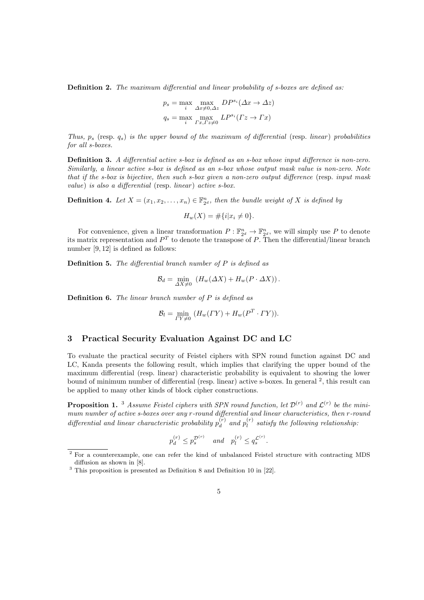**Definition 2.** *The maximum differential and linear probability of s-boxes are defined as:*

$$
p_s = \max_i \max_{\Delta x \neq 0, \Delta z} DP^{s_i}(\Delta x \to \Delta z)
$$

$$
q_s = \max_i \max_{\Gamma x, \Gamma z \neq 0} LP^{s_i}(\Gamma z \to \Gamma x)
$$

*Thus,*  $p_s$  (resp.  $q_s$ ) *is the upper bound of the maximum of differential* (resp. *linear*) *probabilities for all s-boxes.*

**Definition 3.** *A differential active s-box is defined as an s-box whose input difference is non-zero. Similarly, a linear active s-box is defined as an s-box whose output mask value is non-zero. Note that if the s-box is bijective, then such s-box given a non-zero output difference* (resp. *input mask value*) *is also a differential* (resp. *linear*) *active s-box.* 

**Definition 4.** Let  $X = (x_1, x_2, \ldots, x_n) \in \mathbb{F}_{2^d}^n$ , then the bundle weight of  $X$  is defined by

$$
H_w(X) = \# \{ i | x_i \neq 0 \}.
$$

For convenience, given a linear transformation  $P: \mathbb{F}_{2^d}^n \to \mathbb{F}_{2^d}^n$ , we will simply use P to denote its matrix representation and *P T* to denote the transpose of *P*. Then the differential/linear branch number [9, 12] is defined as follows:

**Definition 5.** *The differential branch number of P is defined as*

$$
\mathcal{B}_d = \min_{\Delta X \neq 0} \left( H_w(\Delta X) + H_w(P \cdot \Delta X) \right).
$$

**Definition 6.** *The linear branch number of P is defined as*

$$
\mathcal{B}_l = \min_{\Gamma Y \neq 0} \left( H_w(\Gamma Y) + H_w(\mathbf{P}^T \cdot \Gamma Y) \right).
$$

# **3 Practical Security Evaluation Against DC and LC**

To evaluate the practical security of Feistel ciphers with SPN round function against DC and LC, Kanda presents the following result, which implies that clarifying the upper bound of the maximum differential (resp. linear) characteristic probability is equivalent to showing the lower bound of minimum number of differential (resp. linear) active s-boxes. In general <sup>2</sup>, this result can be applied to many other kinds of block cipher constructions.

**Proposition 1.** <sup>3</sup> *Assume Feistel ciphers with SPN round function, let*  $\mathcal{D}^{(r)}$  *and*  $\mathcal{L}^{(r)}$  *be the minimum number of active s-boxes over any r-round differential and linear characteristics, then r-round differential and linear characteristic probability*  $p_d^{(r)}$  $p_d^{(r)}$  and  $p_l^{(r)}$ *l satisfy the following relationship:*

$$
p_d^{(r)} \le p_s^{\mathcal{D}^{(r)}} \quad \text{and} \quad p_l^{(r)} \le q_s^{\mathcal{L}^{(r)}}.
$$

<sup>&</sup>lt;sup>2</sup> For a counterexample, one can refer the kind of unbalanced Feistel structure with contracting MDS diffusion as shown in [8].

 $3$  This proposition is presented as Definition 8 and Definition 10 in [22].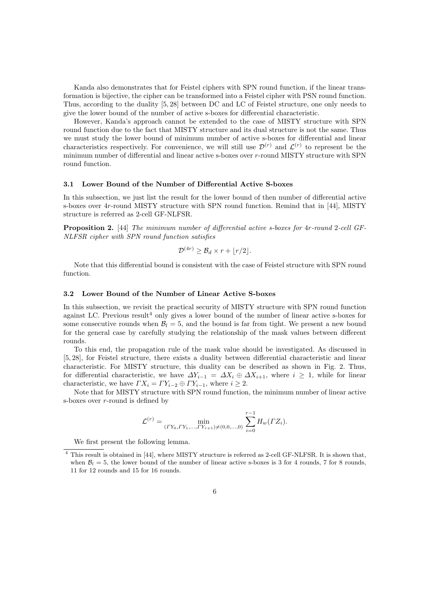Kanda also demonstrates that for Feistel ciphers with SPN round function, if the linear transformation is bijective, the cipher can be transformed into a Feistel cipher with PSN round function. Thus, according to the duality [5, 28] between DC and LC of Feistel structure, one only needs to give the lower bound of the number of active s-boxes for differential characteristic.

However, Kanda's approach cannot be extended to the case of MISTY structure with SPN round function due to the fact that MISTY structure and its dual structure is not the same. Thus we must study the lower bound of minimum number of active s-boxes for differential and linear characteristics respectively. For convenience, we will still use  $\mathcal{D}^{(r)}$  and  $\mathcal{L}^{(r)}$  to represent be the minimum number of differential and linear active s-boxes over *r*-round MISTY structure with SPN round function.

## **3.1 Lower Bound of the Number of Differential Active S-boxes**

In this subsection, we just list the result for the lower bound of then number of differential active s-boxes over 4*r*-round MISTY structure with SPN round function. Remind that in [44], MISTY structure is referred as 2-cell GF-NLFSR.

**Proposition 2.** [44] *The minimum number of differential active s-boxes for* 4*r-round* 2*-cell GF-NLFSR cipher with SPN round function satisfies*

$$
\mathcal{D}^{(4r)} \geq \mathcal{B}_d \times r + \lfloor r/2 \rfloor.
$$

Note that this differential bound is consistent with the case of Feistel structure with SPN round function.

#### **3.2 Lower Bound of the Number of Linear Active S-boxes**

In this subsection, we revisit the practical security of MISTY structure with SPN round function against LC. Previous result<sup>4</sup> only gives a lower bound of the number of linear active s-boxes for some consecutive rounds when  $B_l = 5$ , and the bound is far from tight. We present a new bound for the general case by carefully studying the relationship of the mask values between different rounds.

To this end, the propagation rule of the mask value should be investigated. As discussed in [5, 28], for Feistel structure, there exists a duality between differential characteristic and linear characteristic. For MISTY structure, this duality can be described as shown in Fig. 2. Thus, for differential characteristic, we have  $\Delta Y_{i-1} = \Delta X_i \oplus \Delta X_{i+1}$ , where  $i \geq 1$ , while for linear characteristic, we have  $\Gamma X_i = \Gamma Y_{i-2} \oplus \Gamma Y_{i-1}$ , where  $i \geq 2$ .

Note that for MISTY structure with SPN round function, the minimum number of linear active s-boxes over *r*-round is defined by

$$
\mathcal{L}^{(r)} = \min_{(\Gamma Y_0, \Gamma Y_1, \dots, \Gamma Y_{r+1}) \neq (0, 0, \dots, 0)} \sum_{i=0}^{r-1} H_w(\Gamma Z_i).
$$

We first present the following lemma.

<sup>4</sup> This result is obtained in [44], where MISTY structure is referred as 2-cell GF-NLFSR. It is shown that, when  $B_l = 5$ , the lower bound of the number of linear active s-boxes is 3 for 4 rounds, 7 for 8 rounds, 11 for 12 rounds and 15 for 16 rounds.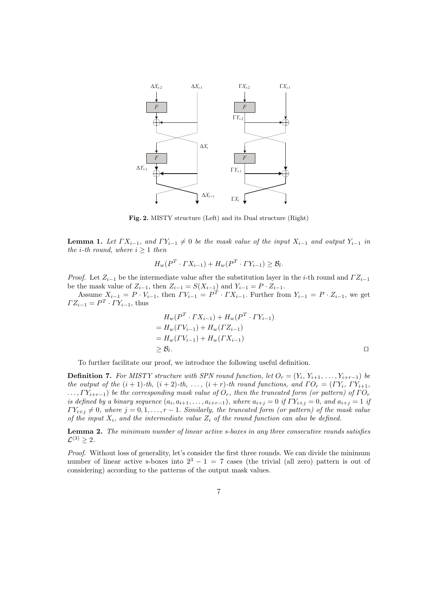

**Fig. 2.** MISTY structure (Left) and its Dual structure (Right)

**Lemma 1.** Let  $\Gamma X_{i-1}$ , and  $\Gamma Y_{i-1} \neq 0$  be the mask value of the input  $X_{i-1}$  and output  $Y_{i-1}$  in *the i*-th round, where  $i \geq 1$  *then* 

$$
H_w(P^T \cdot \Gamma X_{i-1}) + H_w(P^T \cdot \Gamma Y_{i-1}) \ge \mathcal{B}_l.
$$

*Proof.* Let  $Z_{i-1}$  be the intermediate value after the substitution layer in the *i*-th round and  $\Gamma Z_{i-1}$ be the mask value of  $Z_{i-1}$ , then  $Z_{i-1} = S(X_{i-1})$  and  $Y_{i-1} = P \cdot Z_{i-1}$ .

Assume  $X_{i-1} = P \cdot V_{i-1}$ , then  $\Gamma V_{i-1} = P^T \cdot \Gamma X_{i-1}$ . Further from  $Y_{i-1} = P \cdot Z_{i-1}$ , we get  $\Gamma Z_{i-1} = P^T \cdot \Gamma Y_{i-1}$ , thus

$$
H_w(P^T \cdot FX_{i-1}) + H_w(P^T \cdot TY_{i-1})
$$
  
=  $H_w(\Gamma V_{i-1}) + H_w(\Gamma Z_{i-1})$   
=  $H_w(\Gamma V_{i-1}) + H_w(\Gamma X_{i-1})$   
 $\geq B_l.$ 

To further facilitate our proof, we introduce the following useful definition.

**Definition 7.** For MISTY structure with SPN round function, let  $O_r = (Y_i, Y_{i+1}, \ldots, Y_{i+r-1})$  be *the output of the* (*i* + 1)*-th,* (*i* + 2)*-th, . . . ,* (*i* + *r*)*-th round functions, and Γ O<sup>r</sup>* = (*Γ Yi, Γ Yi*+1*,*  $I_1, I_2, I_3, I_4, I_5, I_7, I_8$  *be the corresponding mask value of*  $O_r$ *, then the truncated form (or pattern) of*  $\Gamma O_r$ is defined by a binary sequence  $(a_i, a_{i+1}, \ldots, a_{i+r-1})$ , where  $a_{i+j} = 0$  if  $\Gamma Y_{i+j} = 0$ , and  $a_{i+j} = 1$  if  $\Gamma Y_{i+j} \neq 0$ , where  $j = 0, 1, \ldots, r - 1$ . Similarly, the truncated form (or pattern) of the mask value *of the input*  $X_i$ *, and the intermediate value*  $Z_i$  *of the round function can also be defined.* 

**Lemma 2.** *The minimum number of linear active s-boxes in any three consecutive rounds satisfies*  $\mathcal{L}^{(3)} \geq 2.$ 

*Proof.* Without loss of generality, let's consider the first three rounds. We can divide the minimum number of linear active s-boxes into  $2^3 - 1 = 7$  cases (the trivial (all zero) pattern is out of considering) according to the patterns of the output mask values.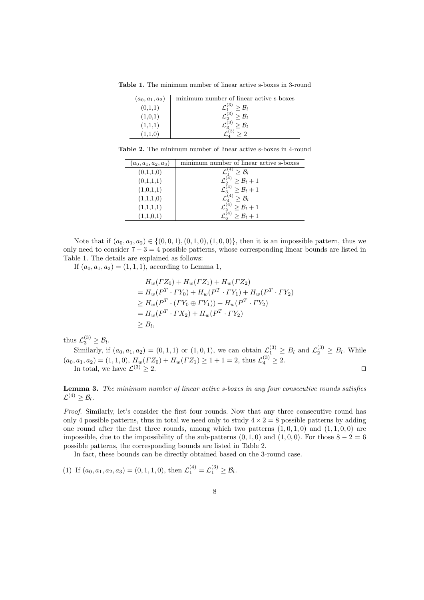**Table 1.** The minimum number of linear active s-boxes in 3-round

| $(a_0, a_1, a_2)$ | minimum number of linear active s-boxes |
|-------------------|-----------------------------------------|
| (0,1,1)           | $\geq \mathcal{B}_l$                    |
| (1,0,1)           | $\geq \mathcal{B}_l$                    |
| (1,1,1)           | $\geq \mathcal{B}_l$                    |
|                   |                                         |

**Table 2.** The minimum number of linear active s-boxes in 4-round

| $(a_0, a_1, a_2, a_3)$ | minimum number of linear active s-boxes      |
|------------------------|----------------------------------------------|
| (0,1,1,0)              | $>$ $B_l$                                    |
| (0,1,1,1)              | $\mathcal{L}_2^{(4)} \geq \mathcal{B}_l + 1$ |
| (1,0,1,1)              | $\mathcal{L}_3^{(4)} \geq \mathcal{B}_l + 1$ |
| (1,1,1,0)              | $\mathcal{L}_A^{(4)} > \mathcal{B}_l$        |
| (1,1,1,1)              | $\mathcal{L}_5^{(4)} \geq \mathcal{B}_l + 1$ |
| (1,1,0,1)              | $> \mathcal{B}_l + 1$                        |

Note that if  $(a_0, a_1, a_2)$  ∈ { $(0, 0, 1)$ ,  $(0, 1, 0)$ ,  $(1, 0, 0)$ }, then it is an impossible pattern, thus we only need to consider 7 *−* 3 = 4 possible patterns, whose corresponding linear bounds are listed in Table 1. The details are explained as follows:

If  $(a_0, a_1, a_2) = (1, 1, 1)$ , according to Lemma 1,

$$
H_w(\Gamma Z_0) + H_w(\Gamma Z_1) + H_w(\Gamma Z_2)
$$
  
=  $H_w(P^T \cdot \Gamma Y_0) + H_w(P^T \cdot \Gamma Y_1) + H_w(P^T \cdot \Gamma Y_2)$   
 $\geq H_w(P^T \cdot (\Gamma Y_0 \oplus \Gamma Y_1)) + H_w(P^T \cdot \Gamma Y_2)$   
=  $H_w(P^T \cdot \Gamma X_2) + H_w(P^T \cdot \Gamma Y_2)$   
 $\geq B_l$ ,

thus  $\mathcal{L}_3^{(3)} \geq \mathcal{B}_l$ .  $\mathcal{B}_3^{(3)} \geq \mathcal{B}_l$ 

Similarly, if  $(a_0, a_1, a_2) = (0, 1, 1)$  or  $(1, 0, 1)$ , we can obtain  $\mathcal{L}_1^{(3)} \geq B_l$  and  $\mathcal{L}_2^{(3)} \geq B_l$ . While  $(a_0, a_1, a_2) = (1, 1, 0), H_w(\Gamma Z_0) + H_w(\Gamma Z_1) \ge 1 + 1 = 2$ , thus  $\mathcal{L}_4^{(3)} \ge 2$ . In total, we have  $\mathcal{L}^{(3)} \geq 2$ .  $□$ 

# **Lemma 3.** *The minimum number of linear active s-boxes in any four consecutive rounds satisfies*  $\mathcal{L}^{(4)} \geq \mathcal{B}_l$ .

*Proof.* Similarly, let's consider the first four rounds. Now that any three consecutive round has only 4 possible patterns, thus in total we need only to study  $4 \times 2 = 8$  possible patterns by adding one round after the first three rounds, among which two patterns  $(1, 0, 1, 0)$  and  $(1, 1, 0, 0)$  are impossible, due to the impossibility of the sub-patterns  $(0,1,0)$  and  $(1,0,0)$ . For those  $8-2=6$ possible patterns, the corresponding bounds are listed in Table 2.

In fact, these bounds can be directly obtained based on the 3-round case.

(1) If  $(a_0, a_1, a_2, a_3) = (0, 1, 1, 0)$ , then  $\mathcal{L}_1^{(4)} = \mathcal{L}_1^{(3)} \geq \mathcal{B}_l$ .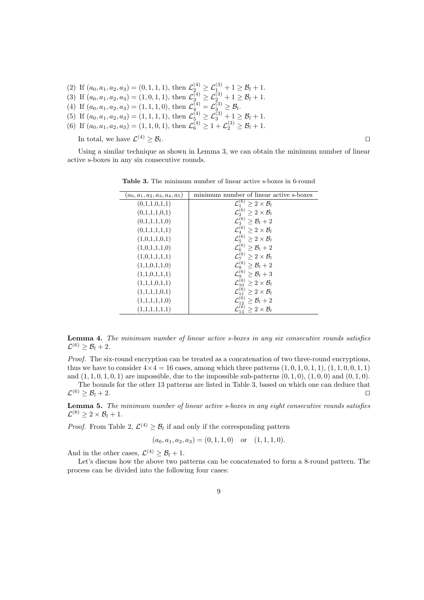- (2) If  $(a_0, a_1, a_2, a_3) = (0, 1, 1, 1)$ , then  $\mathcal{L}_{2}^{(4)} \geq \mathcal{L}_{1}^{(3)} + 1 \geq \mathcal{B}_l + 1$ .
- (3) If  $(a_0, a_1, a_2, a_3) = (1, 0, 1, 1)$ , then  $\mathcal{L}_{3}^{(4)} \geq \mathcal{L}_{2}^{(3)} + 1 \geq \mathcal{B}_l + 1$ .
- (4) If  $(a_0, a_1, a_2, a_3) = (1, 1, 1, 0)$ , then  $\mathcal{L}_{4}^{(4)} = \mathcal{L}_{3}^{(3)} \geq \mathcal{B}_l$ .
- (5) If  $(a_0, a_1, a_2, a_3) = (1, 1, 1, 1)$ , then  $\mathcal{L}^{(4)}_{5} \geq \mathcal{L}^{(3)}_{3} + 1 \geq \mathcal{B}_l + 1$ .
- (6) If  $(a_0, a_1, a_2, a_3) = (1, 1, 0, 1)$ , then  $\mathcal{L}_6^{(4)} \ge 1 + \mathcal{L}_2^{(3)} \ge \mathcal{B}_l + 1$ .

In total, we have  $\mathcal{L}^{(4)} \geq \mathcal{B}_l$ 

. **∩** 

Using a similar technique as shown in Lemma 3, we can obtain the minimum number of linear active s-boxes in any six consecutive rounds.

| $(a_0, a_1, a_2, a_3, a_4, a_5)$ | minimum number of linear active s-boxes              |
|----------------------------------|------------------------------------------------------|
| (0,1,1,0,1,1)                    | $\mathcal{L}_1^{(6)}$<br>$\geq 2\times\mathcal{B}_l$ |
| (0,1,1,1,0,1)                    | $\mathcal{L}^{(6)}_2 \geq 2 \times \mathcal{B}_l$    |
| (0,1,1,1,1,0)                    | $\mathcal{L}_3^{(6)} \geq \mathcal{B}_l + 2$         |
| (0,1,1,1,1,1)                    | $\mathcal{L}_4^{(6)} \geq 2 \times \mathcal{B}_l$    |
| (1,0,1,1,0,1)                    | $\mathcal{L}_5^{(6)} \geq 2 \times \mathcal{B}_l$    |
| (1,0,1,1,1,0)                    | $\mathcal{L}_6^{(6)} \geq \mathcal{B}_l + 2$         |
| (1,0,1,1,1,1)                    | $\mathcal{L}_7^{(6)} \geq 2 \times \mathcal{B}_l$    |
| (1,1,0,1,1,0)                    | $\mathcal{L}_8^{(6)} \geq \mathcal{B}_l + 2$         |
| (1,1,0,1,1,1)                    | $\mathcal{L}^{(6)}_9\geq \mathcal{B}_l+3$            |
| (1,1,1,0,1,1)                    | $\mathcal{L}_{10}^{(6)} \geq 2 \times \mathcal{B}_l$ |
| (1,1,1,1,0,1)                    | $\mathcal{L}^{(6)}_{11} \geq 2 \times \mathcal{B}_l$ |
| (1,1,1,1,1,0)                    | $\mathcal{L}_{12}^{(6)} \geq \mathcal{B}_l + 2$      |
| (1,1,1,1,1,1)                    | $\geq 2\times\mathcal{B}_l$                          |

**Table 3.** The minimum number of linear active s-boxes in 6-round

**Lemma 4.** *The minimum number of linear active s-boxes in any six consecutive rounds satisfies*  $\mathcal{L}^{(6)} \geq \mathcal{B}_l + 2.$ 

*Proof.* The six-round encryption can be treated as a concatenation of two three-round encryptions, thus we have to consider  $4\times4=16$  cases, among which three patterns  $(1,0,1,0,1,1)$ ,  $(1,1,0,0,1,1)$ and  $(1, 1, 0, 1, 0, 1)$  are impossible, due to the impossible sub-patterns  $(0, 1, 0)$ ,  $(1, 0, 0)$  and  $(0, 1, 0)$ .

The bounds for the other 13 patterns are listed in Table 3, based on which one can deduce that  $\mathcal{L}^{(6)} \geq \mathcal{B}_l + 2.$ 

**Lemma 5.** *The minimum number of linear active s-boxes in any eight consecutive rounds satisfies*  $\mathcal{L}^{(8)} \geq 2 \times \mathcal{B}_l + 1.$ 

*Proof.* From Table 2,  $\mathcal{L}^{(4)} \geq \mathcal{B}_l$  if and only if the corresponding pattern

$$
(a_0, a_1, a_2, a_3) = (0, 1, 1, 0)
$$
 or  $(1, 1, 1, 0)$ .

And in the other cases,  $\mathcal{L}^{(4)} \geq \mathcal{B}_l + 1$ .

Let's discuss how the above two patterns can be concatenated to form a 8-round pattern. The process can be divided into the following four cases: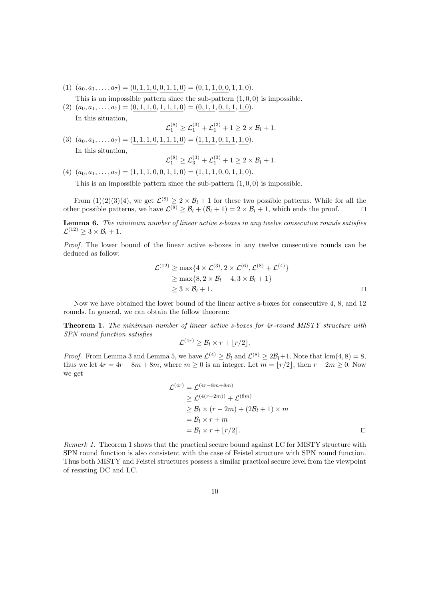- $(a_0, a_1, \ldots, a_7) = (0, 1, 1, 0, 0, 1, 1, 0) = (0, 1, 1, 0, 0, 1, 1, 0).$
- This is an impossible pattern since the sub-pattern  $(1, 0, 0)$  is impossible.  $(a_0, a_1, \ldots, a_7) = (0, 1, 1, 0, 1, 1, 1, 0) = (0, 1, 1, 0, 1, 1, 1, 0).$ 
	- In this situation,

$$
\mathcal{L}_1^{(8)} \ge \mathcal{L}_1^{(3)} + \mathcal{L}_1^{(3)} + 1 \ge 2 \times \mathcal{B}_l + 1.
$$

 $(a_0, a_1, \ldots, a_7) = (1, 1, 1, 0, 1, 1, 1, 0) = (1, 1, 1, 0, 1, 1, 1, 0).$ In this situation,

$$
\mathcal{L}_1^{(8)} \geq \mathcal{L}_3^{(3)} + \mathcal{L}_1^{(3)} + 1 \geq 2 \times \mathcal{B}_l + 1.
$$

 $(a) (a_0, a_1, \ldots, a_7) = (1, 1, 1, 0, 0, 1, 1, 0) = (1, 1, 1, 0, 0, 1, 1, 0).$ 

This is an impossible pattern since the sub-pattern  $(1, 0, 0)$  is impossible.

From  $(1)(2)(3)(4)$ , we get  $\mathcal{L}^{(8)} \geq 2 \times \mathcal{B}_l + 1$  for these two possible patterns. While for all the other possible patterns, we have  $\mathcal{L}^{(8)} \geq \mathcal{B}_l + (\mathcal{B}_l + 1) = 2 \times \mathcal{B}_l + 1$ , which ends the proof.  $\Box$ 

**Lemma 6.** *The minimum number of linear active s-boxes in any twelve consecutive rounds satisfies*  $\mathcal{L}^{(12)} \geq 3 \times \mathcal{B}_l + 1.$ 

*Proof.* The lower bound of the linear active s-boxes in any twelve consecutive rounds can be deduced as follow:

$$
\mathcal{L}^{(12)} \ge \max\{4 \times \mathcal{L}^{(3)}, 2 \times \mathcal{L}^{(6)}, \mathcal{L}^{(8)} + \mathcal{L}^{(4)}\}\n\n\ge \max\{8, 2 \times \mathcal{B}_l + 4, 3 \times \mathcal{B}_l + 1\}\n\n\ge 3 \times \mathcal{B}_l + 1.
$$

Now we have obtained the lower bound of the linear active s-boxes for consecutive 4, 8, and 12 rounds. In general, we can obtain the follow theorem:

**Theorem 1.** *The minimum number of linear active s-boxes for* 4*r-round MISTY structure with SPN round function satisfies*

$$
\mathcal{L}^{(4r)} \geq \mathcal{B}_l \times r + \lfloor r/2 \rfloor.
$$

*Proof.* From Lemma 3 and Lemma 5, we have  $\mathcal{L}^{(4)} \geq \mathcal{B}_l$  and  $\mathcal{L}^{(8)} \geq 2\mathcal{B}_l + 1$ . Note that  $\text{lcm}(4, 8) = 8$ , thus we let  $4r = 4r - 8m + 8m$ , where  $m \geq 0$  is an integer. Let  $m = \lfloor r/2 \rfloor$ , then  $r - 2m \geq 0$ . Now we get

$$
\mathcal{L}^{(4r)} = \mathcal{L}^{(4r-8m+8m)}
$$
\n
$$
\geq \mathcal{L}^{(4(r-2m))} + \mathcal{L}^{(8m)}
$$
\n
$$
\geq \mathcal{B}_l \times (r-2m) + (2\mathcal{B}_l + 1) \times m
$$
\n
$$
= \mathcal{B}_l \times r + m
$$
\n
$$
= \mathcal{B}_l \times r + \lfloor r/2 \rfloor.
$$

*Remark 1.* Theorem 1 shows that the practical secure bound against LC for MISTY structure with SPN round function is also consistent with the case of Feistel structure with SPN round function. Thus both MISTY and Feistel structures possess a similar practical secure level from the viewpoint of resisting DC and LC.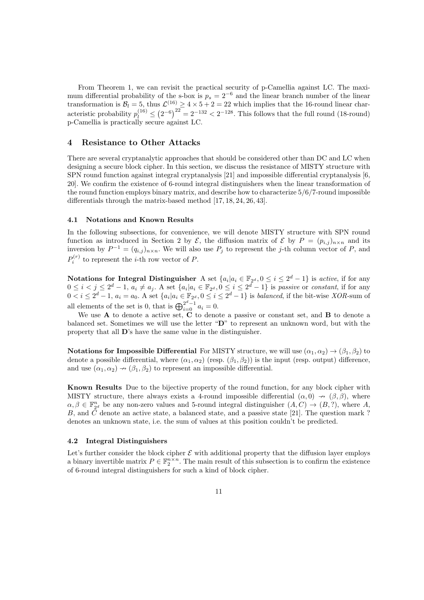From Theorem 1, we can revisit the practical security of p-Camellia against LC. The maximum differential probability of the s-box is  $p_s = 2^{-6}$  and the linear branch number of the linear transformation is  $B_l = 5$ , thus  $\mathcal{L}^{(16)} \ge 4 \times 5 + 2 = 22$  which implies that the 16-round linear characteristic probability  $p_l^{(16)} \le (2^{-6})^{22} = 2^{-132} < 2^{-128}$ . This follows that the full round (18-round) p-Camellia is practically secure against LC.

# **4 Resistance to Other Attacks**

There are several cryptanalytic approaches that should be considered other than DC and LC when designing a secure block cipher. In this section, we discuss the resistance of MISTY structure with SPN round function against integral cryptanalysis [21] and impossible differential cryptanalysis [6, 20]. We confirm the existence of 6-round integral distinguishers when the linear transformation of the round function employs binary matrix, and describe how to characterize 5*/*6*/*7-round impossible differentials through the matrix-based method [17, 18, 24, 26, 43].

#### **4.1 Notations and Known Results**

In the following subsections, for convenience, we will denote MISTY structure with SPN round function as introduced in Section 2 by  $\mathcal{E}$ , the diffusion matrix of  $\mathcal{E}$  by  $P = (p_{i,j})_{n \times n}$  and its inversion by  $P^{-1} = (q_{i,j})_{n \times n}$ . We will also use  $P_j$  to represent the *j*-th column vector of  $P$ , and  $P_i^{(r)}$  to represent the *i*-th row vector of *P*.

**Notations for Integral Distinguisher** A set  $\{a_i | a_i \in \mathbb{F}_{2^d}, 0 \le i \le 2^d - 1\}$  is *active*, if for any  $0 \leq i < j \leq 2^d - 1$ ,  $a_i \neq a_j$ . A set  $\{a_i | a_i \in \mathbb{F}_{2^d}, 0 \leq i \leq 2^d - 1\}$  is passive or constant, if for any  $0 < i \leq 2^d - 1$ ,  $a_i = a_0$ . A set  $\{a_i | a_i \in \mathbb{F}_{2^d}, 0 \leq i \leq 2^d - 1\}$  is *balanced*, if the bit-wise *XOR*-sum of all elements of the set is 0, that is  $\bigoplus_{i=0}^{2^d-1} a_i = 0$ .

We use **A** to denote a active set, **C** to denote a passive or constant set, and **B** to denote a balanced set. Sometimes we will use the letter "**D**" to represent an unknown word, but with the property that all **D**'s have the same value in the distinguisher.

**Notations for Impossible Differential** For MISTY structure, we will use  $(\alpha_1, \alpha_2) \rightarrow (\beta_1, \beta_2)$  to denote a possible differential, where  $(\alpha_1, \alpha_2)$  (resp.  $(\beta_1, \beta_2)$ ) is the input (resp. output) difference, and use  $(\alpha_1, \alpha_2) \rightarrow (\beta_1, \beta_2)$  to represent an impossible differential.

**Known Results** Due to the bijective property of the round function, for any block cipher with MISTY structure, there always exists a 4-round impossible differential  $(\alpha, 0) \rightarrow (\beta, \beta)$ , where  $\alpha, \beta \in \mathbb{F}_{2^d}^n$  be any non-zero values and 5-round integral distinguisher  $(A, C) \to (B, ?)$ , where *A*, *B*, and *C* denote an active state, a balanced state, and a passive state [21]. The question mark ? denotes an unknown state, i.e. the sum of values at this position couldn't be predicted.

#### **4.2 Integral Distinguishers**

Let's further consider the block cipher  $\mathcal E$  with additional property that the diffusion layer employs a binary invertible matrix  $P \in \mathbb{F}_2^{n \times n}$ . The main result of this subsection is to confirm the existence of 6-round integral distinguishers for such a kind of block cipher.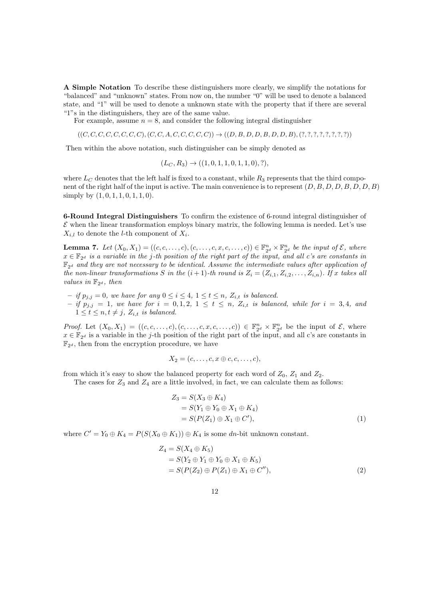**A Simple Notation** To describe these distinguishers more clearly, we simplify the notations for "balanced" and "unknown" states. From now on, the number "0" will be used to denote a balanced state, and "1" will be used to denote a unknown state with the property that if there are several "1"s in the distinguishers, they are of the same value.

For example, assume  $n = 8$ , and consider the following integral distinguisher

$$
((C, C, C, C, C, C, C, C), (C, C, A, C, C, C, C, C)) \rightarrow ((D, B, D, D, B, D, D, B), (?,?,?,?,?,?,?,,?,,?)))
$$

Then within the above notation, such distinguisher can be simply denoted as

$$
(L_C, R_3) \rightarrow ((1, 0, 1, 1, 0, 1, 1, 0), ?),
$$

where  $L_C$  denotes that the left half is fixed to a constant, while  $R_3$  represents that the third component of the right half of the input is active. The main convenience is to represent (*D, B, D, D, B, D, D, B*) simply by (1*,* 0*,* 1*,* 1*,* 0*,* 1*,* 1*,* 0).

**6-Round Integral Distinguishers** To confirm the existence of 6-round integral distinguisher of  $\mathcal E$  when the linear transformation employs binary matrix, the following lemma is needed. Let's use  $X_{i,l}$  to denote the *l*-th component of  $X_i$ .

**Lemma 7.** Let  $(X_0, X_1) = ((c, c, \ldots, c), (c, \ldots, c, x, c, \ldots, c)) \in \mathbb{F}_{2^d}^n \times \mathbb{F}_{2^d}^n$  be the input of  $\mathcal{E}$ , where  $x \in \mathbb{F}_{2^d}$  *is a variable in the j-th position of the right part of the input, and all c's are constants in*  $\mathbb{F}_{2^d}$  and they are not necessary to be identical. Assume the intermediate values after application of *the non-linear transformations S in the*  $(i+1)$ *-th round is*  $Z_i = (Z_{i,1}, Z_{i,2}, \ldots, Z_{i,n})$ *. If x takes all values in*  $\mathbb{F}_{2^d}$ *, then* 

 $-$  *if*  $p_{j,j} = 0$ *, we have for any*  $0 \le i \le 4$ *,*  $1 \le t \le n$ *,*  $Z_{i,t}$  *is balanced.*  $-$  if  $p_{j,j} = 1$ , we have for  $i = 0,1,2, 1 \le t \le n$ ,  $Z_{i,t}$  is balanced, while for  $i = 3,4$ , and  $1 \leq t \leq n, t \neq j, Z_{i,t}$  *is balanced.* 

*Proof.* Let  $(X_0, X_1) = ((c, c, \ldots, c), (c, \ldots, c, x, c, \ldots, c)) \in \mathbb{F}_{2^d}^n \times \mathbb{F}_{2^d}^n$  be the input of  $\mathcal{E}$ , where  $x \in \mathbb{F}_{2^d}$  is a variable in the *j*-th position of the right part of the input, and all c's are constants in  $\mathbb{F}_{2^d}$ , then from the encryption procedure, we have

$$
X_2=(c,\ldots,c,x\oplus c,c,\ldots,c),
$$

from which it's easy to show the balanced property for each word of  $Z_0$ ,  $Z_1$  and  $Z_2$ .

The cases for  $Z_3$  and  $Z_4$  are a little involved, in fact, we can calculate them as follows:

$$
Z_3 = S(X_3 \oplus K_4)
$$
  
= S(Y<sub>1</sub> \oplus Y<sub>0</sub> \oplus X<sub>1</sub> \oplus K<sub>4</sub>)  
= S(P(Z<sub>1</sub>) \oplus X<sub>1</sub> \oplus C'), (1)

where  $C' = Y_0 \oplus K_4 = P(S(X_0 \oplus K_1)) \oplus K_4$  is some *dn*-bit unknown constant.

$$
Z_4 = S(X_4 \oplus K_5)
$$
  
=  $S(Y_2 \oplus Y_1 \oplus Y_0 \oplus X_1 \oplus K_5)$   
=  $S(P(Z_2) \oplus P(Z_1) \oplus X_1 \oplus C'')$ , (2)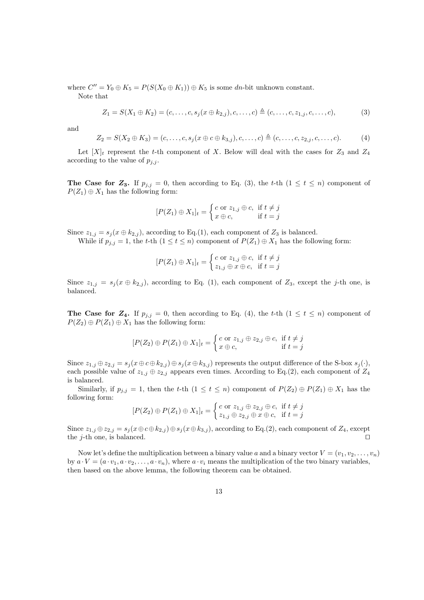where  $C'' = Y_0 \oplus K_5 = P(S(X_0 \oplus K_1)) \oplus K_5$  is some *dn*-bit unknown constant. Note that

$$
Z_1 = S(X_1 \oplus K_2) = (c, \dots, c, s_j(x \oplus k_{2,j}), c, \dots, c) \triangleq (c, \dots, c, z_{1,j}, c, \dots, c),
$$
(3)

and

$$
Z_2 = S(X_2 \oplus K_3) = (c, \dots, c, s_j(x \oplus c \oplus k_{3,j}), c, \dots, c) \triangleq (c, \dots, c, z_{2,j}, c, \dots, c).
$$
 (4)

Let  $[X]_t$  represent the *t*-th component of X. Below will deal with the cases for  $Z_3$  and  $Z_4$ according to the value of  $p_{i,j}$ .

**The Case for**  $\mathbb{Z}_3$ **.** If  $p_{j,j} = 0$ , then according to Eq. (3), the *t*-th  $(1 \leq t \leq n)$  component of  $P(Z_1) \oplus X_1$  has the following form:

$$
[P(Z_1) \oplus X_1]_t = \begin{cases} c \text{ or } z_{1,j} \oplus c, & \text{if } t \neq j \\ x \oplus c, & \text{if } t = j \end{cases}
$$

Since  $z_{1,j} = s_j(x \oplus k_{2,j})$ , according to Eq.(1), each component of  $Z_3$  is balanced.

While if  $p_{j,j} = 1$ , the *t*-th  $(1 \le t \le n)$  component of  $P(Z_1) \oplus X_1$  has the following form:

$$
[P(Z_1) \oplus X_1]_t = \begin{cases} c \text{ or } z_{1,j} \oplus c, & \text{if } t \neq j \\ z_{1,j} \oplus x \oplus c, & \text{if } t = j \end{cases}
$$

Since  $z_{1,j} = s_j(x \oplus k_{2,j})$ , according to Eq. (1), each component of  $Z_3$ , except the *j*-th one, is balanced.

**The Case for**  $\mathbb{Z}_4$ **.** If  $p_{j,j} = 0$ , then according to Eq. (4), the *t*-th (1  $\leq t \leq n$ ) component of  $P(Z_2) \oplus P(Z_1) \oplus X_1$  has the following form:

$$
[P(Z_2) \oplus P(Z_1) \oplus X_1]_t = \begin{cases} c \text{ or } z_{1,j} \oplus z_{2,j} \oplus c, & \text{if } t \neq j \\ x \oplus c, & \text{if } t = j \end{cases}
$$

Since  $z_{1,j} \oplus z_{2,j} = s_j(x \oplus c \oplus k_{2,j}) \oplus s_j(x \oplus k_{3,j})$  represents the output difference of the S-box  $s_j(\cdot)$ , each possible value of  $z_{1,j} \oplus z_{2,j}$  appears even times. According to Eq.(2), each component of  $Z_4$ is balanced.

Similarly, if  $p_{j,j} = 1$ , then the *t*-th  $(1 \leq t \leq n)$  component of  $P(Z_2) \oplus P(Z_1) \oplus X_1$  has the following form:

$$
[P(Z_2) \oplus P(Z_1) \oplus X_1]_t = \begin{cases} c \text{ or } z_{1,j} \oplus z_{2,j} \oplus c, \text{ if } t \neq j \\ z_{1,j} \oplus z_{2,j} \oplus x \oplus c, \text{ if } t = j \end{cases}
$$

Since  $z_{1,j} \oplus z_{2,j} = s_j(x \oplus c \oplus k_{2,j}) \oplus s_j(x \oplus k_{3,j})$ , according to Eq.(2), each component of  $Z_4$ , except the *j*-th one, is balanced. *⊓⊔*

Now let's define the multiplication between a binary value *a* and a binary vector  $V = (v_1, v_2, \ldots, v_n)$ by  $a \cdot V = (a \cdot v_1, a \cdot v_2, \dots, a \cdot v_n)$ , where  $a \cdot v_i$  means the multiplication of the two binary variables, then based on the above lemma, the following theorem can be obtained.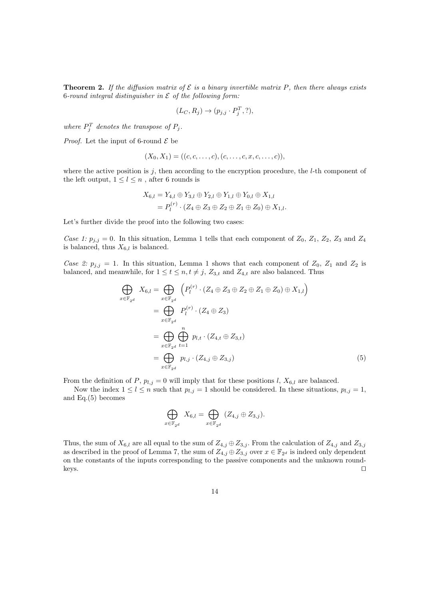**Theorem 2.** If the diffusion matrix of  $\mathcal{E}$  is a binary invertible matrix P, then there always exists 6*-round integral distinguisher in E of the following form:*

$$
(L_C, R_j) \rightarrow (p_{j,j} \cdot P_j^T, ?),
$$

*where*  $P_j^T$  *denotes the transpose of*  $P_j$ *.* 

*Proof.* Let the input of 6-round  $\mathcal{E}$  be

*x∈*F2*<sup>d</sup>*

$$
(X_0, X_1) = ((c, c, \dots, c), (c, \dots, c, x, c, \dots, c)),
$$

where the active position is *j*, then according to the encryption procedure, the *l*-th component of the left output,  $1 \leq l \leq n$ , after 6 rounds is

$$
X_{6,l} = Y_{4,l} \oplus Y_{3,l} \oplus Y_{2,l} \oplus Y_{1,l} \oplus Y_{0,l} \oplus X_{1,l}
$$
  
=  $P_l^{(r)} \cdot (Z_4 \oplus Z_3 \oplus Z_2 \oplus Z_1 \oplus Z_0) \oplus X_{1,l}$ 

Let's further divide the proof into the following two cases:

*Case 1:*  $p_{j,j} = 0$ . In this situation, Lemma 1 tells that each component of  $Z_0$ ,  $Z_1$ ,  $Z_2$ ,  $Z_3$  and  $Z_4$ is balanced, thus  $X_{6,l}$  is balanced.

*Case 2:*  $p_{j,j} = 1$ . In this situation, Lemma 1 shows that each component of  $Z_0$ ,  $Z_1$  and  $Z_2$  is balanced, and meanwhile, for  $1 \le t \le n, t \ne j$ ,  $Z_{3,t}$  and  $Z_{4,t}$  are also balanced. Thus

$$
\bigoplus_{i \in \mathbb{F}_{2^d}} X_{6,l} = \bigoplus_{x \in \mathbb{F}_{2^d}} \left( P_l^{(r)} \cdot (Z_4 \oplus Z_3 \oplus Z_2 \oplus Z_1 \oplus Z_0) \oplus X_{1,l} \right)
$$
\n
$$
= \bigoplus_{x \in \mathbb{F}_{2^d}} P_l^{(r)} \cdot (Z_4 \oplus Z_3)
$$
\n
$$
= \bigoplus_{x \in \mathbb{F}_{2^d}} \bigoplus_{t=1}^n p_{l,t} \cdot (Z_{4,t} \oplus Z_{3,t})
$$
\n
$$
= \bigoplus_{x \in \mathbb{F}_{2^d}} p_{l,j} \cdot (Z_{4,j} \oplus Z_{3,j}) \tag{5}
$$

From the definition of *P*,  $p_{l,j} = 0$  will imply that for these positions *l*,  $X_{6,l}$  are balanced.

Now the index  $1 \leq l \leq n$  such that  $p_{l,j} = 1$  should be considered. In these situations,  $p_{l,j} = 1$ , and Eq.(5) becomes

$$
\bigoplus_{x \in \mathbb{F}_{2^d}} X_{6,l} = \bigoplus_{x \in \mathbb{F}_{2^d}} (Z_{4,j} \oplus Z_{3,j}).
$$

Thus, the sum of  $X_{6,l}$  are all equal to the sum of  $Z_{4,j} \oplus Z_{3,j}$ . From the calculation of  $Z_{4,j}$  and  $Z_{3,j}$ as described in the proof of Lemma 7, the sum of  $Z_{4,j} \oplus Z_{3,j}$  over  $x \in \mathbb{F}_{2^d}$  is indeed only dependent on the constants of the inputs corresponding to the passive components and the unknown roundkeys. *⊓⊔*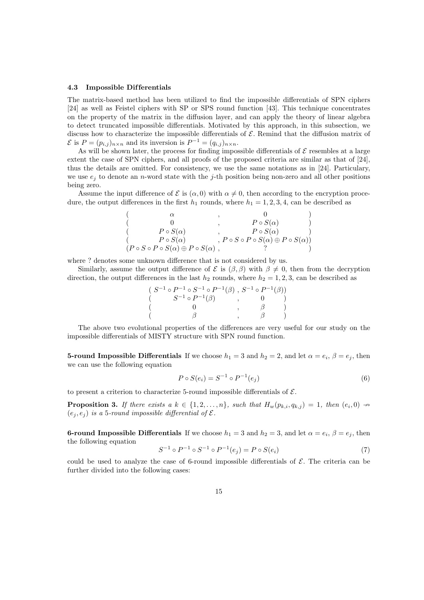#### **4.3 Impossible Dif ferentials**

The matrix-based method has been utilized to find the impossible differentials of SPN ciphers [24] as well as Feistel ciphers with SP or SPS round function [43]. This technique concentrates on the property of the matrix in the diffusion layer, and can apply the theory of linear algebra to detect truncated impossible differentials. Motivated by this approach, in this subsection, we discuss how to characterize the impossible differentials of *E*. Remind that the diffusion matrix of  $\mathcal{E}$  is  $P = (p_{i,j})_{n \times n}$  and its inversion is  $P^{-1} = (q_{i,j})_{n \times n}$ .

As will be shown later, the process for finding impossible differentials of  $\mathcal E$  resembles at a large extent the case of SPN ciphers, and all proofs of the proposed criteria are similar as that of [24], thus the details are omitted. For consistency, we use the same notations as in [24]. Particulary, we use  $e_j$  to denote an *n*-word state with the *j*-th position being non-zero and all other positions being zero.

Assume the input difference of  $\mathcal E$  is  $(\alpha,0)$  with  $\alpha \neq 0$ , then according to the encryption procedure, the output differences in the first  $h_1$  rounds, where  $h_1 = 1, 2, 3, 4$ , can be described as

|                                                                 | $P \circ S(\alpha)$                                            |  |
|-----------------------------------------------------------------|----------------------------------------------------------------|--|
| $P \circ S(\alpha)$                                             | $P \circ S(\alpha)$                                            |  |
| $P \circ S(\alpha)$                                             | , $P \circ S \circ P \circ S(\alpha) \oplus P \circ S(\alpha)$ |  |
| $(P \circ S \circ P \circ S(\alpha) \oplus P \circ S(\alpha)$ , |                                                                |  |

where ? denotes some unknown difference that is not considered by us.

Similarly, assume the output difference of  $\mathcal{E}$  is  $(\beta, \beta)$  with  $\beta \neq 0$ , then from the decryption direction, the output differences in the last  $h_2$  rounds, where  $h_2 = 1, 2, 3$ , can be described as

| $(S^{-1} \circ P^{-1} \circ S^{-1} \circ P^{-1}(\beta) , S^{-1} \circ P^{-1}(\beta))$ |  |  |
|---------------------------------------------------------------------------------------|--|--|
| $S^{-1} \circ P^{-1}(\beta)$                                                          |  |  |
|                                                                                       |  |  |
|                                                                                       |  |  |

The above two evolutional properties of the differences are very useful for our study on the impossible differentials of MISTY structure with SPN round function.

**5-round Impossible Differentials** If we choose  $h_1 = 3$  and  $h_2 = 2$ , and let  $\alpha = e_i$ ,  $\beta = e_j$ , then we can use the following equation

$$
P \circ S(e_i) = S^{-1} \circ P^{-1}(e_j)
$$
\n(6)

to present a criterion to characterize 5-round impossible differentials of *E*.

**Proposition 3.** If there exists a  $k \in \{1, 2, ..., n\}$ , such that  $H_w(p_{k,i}, q_{k,j}) = 1$ , then  $(e_i, 0) \nrightarrow$  $(e_i, e_j)$  *is a* 5*-round impossible differential of*  $\mathcal{E}$ *.* 

**6-round Impossible Differentials** If we choose  $h_1 = 3$  and  $h_2 = 3$ , and let  $\alpha = e_i$ ,  $\beta = e_j$ , then the following equation

$$
S^{-1} \circ P^{-1} \circ S^{-1} \circ P^{-1}(e_j) = P \circ S(e_i)
$$
\n<sup>(7)</sup>

could be used to analyze the case of 6-round impossible differentials of  $\mathcal{E}$ . The criteria can be further divided into the following cases: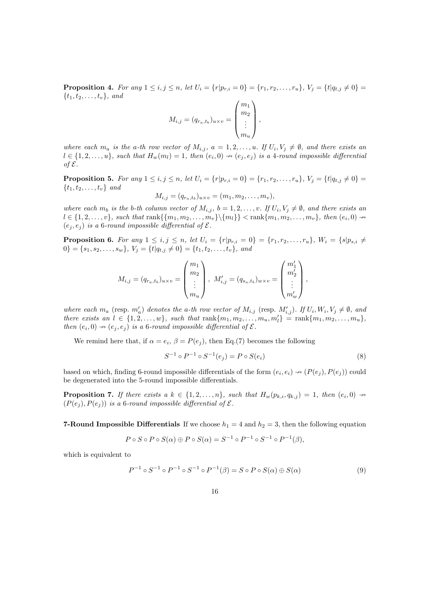**Proposition 4.** For any  $1 \le i, j \le n$ , let  $U_i = \{r | p_{r,i} = 0\} = \{r_1, r_2, \ldots, r_u\}$ ,  $V_j = \{t | q_{t,j} \neq 0\} =$  $\{t_1, t_2, \ldots, t_v\}$ *, and* 

$$
M_{i,j} = (q_{r_a,t_b})_{u \times v} = \begin{pmatrix} m_1 \\ m_2 \\ \vdots \\ m_u \end{pmatrix},
$$

where each  $m_a$  is the a-th row vector of  $M_{i,j}$ ,  $a = 1, 2, ..., u$ . If  $U_i, V_j \neq \emptyset$ , and there exists an  $l \in \{1,2,\ldots,u\}$ , such that  $H_w(m_l) = 1$ , then  $(e_i, 0) \rightarrow (e_j, e_j)$  is a 4-round impossible differential *of E.*

**Proposition 5.** For any  $1 \le i, j \le n$ , let  $U_i = \{r | p_{r,i} = 0\} = \{r_1, r_2, \ldots, r_u\}$ ,  $V_j = \{t | q_{t,j} \neq 0\} =$ *{t*1*, t*2*, . . . , tv} and*

$$
M_{i,j} = (q_{r_a,t_b})_{u \times v} = (m_1, m_2, \dots, m_v),
$$

where each  $m_b$  is the b-th column vector of  $M_{i,j}$ ,  $b = 1, 2, ..., v$ . If  $U_i, V_j \neq \emptyset$ , and there exists an  $l \in \{1,2,\ldots,v\}$ , such that  $\text{rank}\{\{m_1,m_2,\ldots,m_v\}\setminus\{m_l\}\} < \text{rank}\{m_1,m_2,\ldots,m_v\}$ , then  $(e_i,0) \rightarrow$  $(e_i, e_j)$  *is a* 6*-round impossible differential of*  $\mathcal{E}$ *.* 

**Proposition 6.** For any  $1 \le i, j \le n$ , let  $U_i = \{r | p_{r,i} = 0\} = \{r_1, r_2, \ldots, r_u\}$ ,  $W_i = \{s | p_{s,i} \neq 0\}$  $0$ } = { $s_1, s_2, \ldots, s_w$ },  $V_j = \{t | q_{t,j} \neq 0\} = \{t_1, t_2, \ldots, t_v\}$ , and

$$
M_{i,j} = (q_{r_a,t_b})_{u \times v} = \begin{pmatrix} m_1 \\ m_2 \\ \vdots \\ m_u \end{pmatrix}, M'_{i,j} = (q_{s_a,t_b})_{w \times v} = \begin{pmatrix} m'_1 \\ m'_2 \\ \vdots \\ m'_w \end{pmatrix},
$$

where each  $m_a$  (resp.  $m'_a$ ) denotes the a-th row vector of  $M_{i,j}$  (resp.  $M'_{i,j}$ ). If  $U_i, W_i, V_j \neq \emptyset$ , and there exists an  $l \in \{1,2,\ldots,w\}$ , such that  $\text{rank}\{m_1,m_2,\ldots,m_u,m'_l\} = \text{rank}\{m_1,m_2,\ldots,m_u\}$ , *then*  $(e_i, 0) \rightarrow (e_j, e_j)$  *is a* 6*-round impossible differential of*  $\mathcal{E}$ *.* 

We remind here that, if  $\alpha = e_i$ ,  $\beta = P(e_j)$ , then Eq.(7) becomes the following

$$
S^{-1} \circ P^{-1} \circ S^{-1}(e_j) = P \circ S(e_i)
$$
\n(8)

based on which, finding 6-round impossible differentials of the form  $(e_i, e_i) \rightarrow (P(e_j), P(e_j))$  could be degenerated into the 5-round impossible differentials.

**Proposition 7.** If there exists a  $k \in \{1, 2, ..., n\}$ , such that  $H_w(p_{k,i}, q_{k,j}) = 1$ , then  $(e_i, 0) \rightarrow$  $(P(e_i), P(e_i))$  *is a* 6*-round impossible differential of*  $\mathcal{E}$ *.* 

**7-Round Impossible Differentials** If we choose  $h_1 = 4$  and  $h_2 = 3$ , then the following equation

$$
P \circ S \circ P \circ S(\alpha) \oplus P \circ S(\alpha) = S^{-1} \circ P^{-1} \circ S^{-1} \circ P^{-1}(\beta),
$$

which is equivalent to

$$
P^{-1} \circ S^{-1} \circ P^{-1} \circ S^{-1} \circ P^{-1}(\beta) = S \circ P \circ S(\alpha) \oplus S(\alpha)
$$
 (9)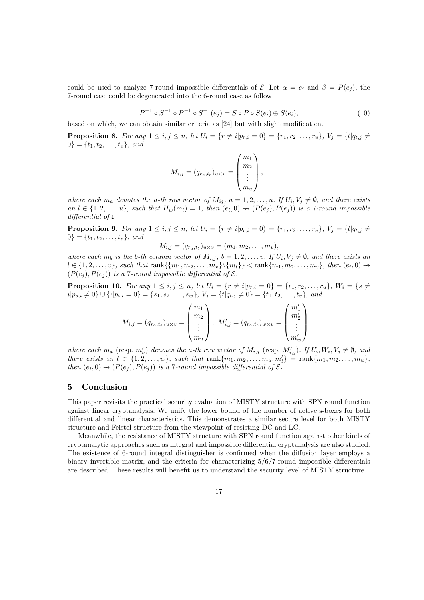could be used to analyze 7-round impossible differentials of  $\mathcal{E}$ . Let  $\alpha = e_i$  and  $\beta = P(e_i)$ , the 7-round case could be degenerated into the 6-round case as follow

$$
P^{-1} \circ S^{-1} \circ P^{-1} \circ S^{-1}(e_j) = S \circ P \circ S(e_i) \oplus S(e_i),\tag{10}
$$

based on which, we can obtain similar criteria as [24] but with slight modification.

**Proposition 8.** For any  $1 \le i, j \le n$ , let  $U_i = \{r \neq i | p_{r,i} = 0\} = \{r_1, r_2, \ldots, r_u\}$ ,  $V_j = \{t | q_{t,j} \neq 0\}$  $0$ <sup>}</sup> = { $t_1, t_2, \ldots, t_v$ }*, and* 

$$
M_{i,j} = (q_{r_a,t_b})_{u \times v} = \begin{pmatrix} m_1 \\ m_2 \\ \vdots \\ m_u \end{pmatrix},
$$

where each  $m_a$  denotes the a-th row vector of  $M_{ij}$ ,  $a = 1, 2, ..., u$ . If  $U_i, V_j \neq \emptyset$ , and there exists an  $l \in \{1,2,\ldots,u\}$ , such that  $H_w(m_l) = 1$ , then  $(e_i,0) \nrightarrow (P(e_j),P(e_j))$  is a 7-round impossible *differential of E.*

**Proposition 9.** For any  $1 \leq i, j \leq n$ , let  $U_i = \{r \neq i | p_{r,i} = 0\} = \{r_1, r_2, \ldots, r_u\}$ ,  $V_i = \{t | q_{t,i} \neq 0\}$  $0$ <sup>}</sup> = { $t_1, t_2, \ldots, t_v$ }*, and* 

$$
M_{i,j} = (q_{r_a,t_b})_{u \times v} = (m_1, m_2, \dots, m_v),
$$

where each  $m_b$  is the b-th column vector of  $M_{i,j}$ ,  $b = 1, 2, ..., v$ . If  $U_i, V_j \neq \emptyset$ , and there exists an  $l \in \{1,2,\ldots,v\}$ , such that  $\text{rank}\{\{m_1,m_2,\ldots,m_v\}\setminus\{m_l\}\} < \text{rank}\{m_1,m_2,\ldots,m_v\}$ , then  $(e_i,0) \rightarrow$  $(P(e_i), P(e_i))$  *is a* 7*-round impossible differential of*  $\mathcal{E}$ *.* 

**Proposition 10.** For any  $1 \le i, j \le n$ , let  $U_i = \{r \ne i | p_{r,i} = 0\} = \{r_1, r_2, \ldots, r_u\}$ ,  $W_i = \{s \ne i\}$  $i|p_{s,i}\neq 0\}\cup\{i|p_{i,i}=0\} = \{s_1,s_2,\ldots,s_w\},\ V_j = \{t|q_{t,j}\neq 0\} = \{t_1,t_2,\ldots,t_v\},\ and$ 

$$
M_{i,j} = (q_{r_a,t_b})_{u \times v} = \begin{pmatrix} m_1 \\ m_2 \\ \vdots \\ m_u \end{pmatrix}, M'_{i,j} = (q_{r_a,t_b})_{w \times v} = \begin{pmatrix} m'_1 \\ m'_2 \\ \vdots \\ m'_w \end{pmatrix},
$$

where each  $m_a$  (resp.  $m'_a$ ) denotes the a-th row vector of  $M_{i,j}$  (resp.  $M'_{i,j}$ ). If  $U_i, W_i, V_j \neq \emptyset$ , and there exists an  $l \in \{1,2,\ldots,w\}$ , such that  $\text{rank}\{m_1,m_2,\ldots,m_u,m'_l\} = \text{rank}\{m_1,m_2,\ldots,m_u\}$ , *then*  $(e_i, 0) \rightarrow (P(e_j), P(e_j))$  *is a* 7*-round impossible differential of*  $\mathcal{E}$ *.* 

# **5 Conclusion**

This paper revisits the practical security evaluation of MISTY structure with SPN round function against linear cryptanalysis. We unify the lower bound of the number of active s-boxes for both differential and linear characteristics. This demonstrates a similar secure level for both MISTY structure and Feistel structure from the viewpoint of resisting DC and LC.

Meanwhile, the resistance of MISTY structure with SPN round function against other kinds of cryptanalytic approaches such as integral and impossible differential cryptanalysis are also studied. The existence of 6-round integral distinguisher is confirmed when the diffusion layer employs a binary invertible matrix, and the criteria for characterizing 5*/*6*/*7-round impossible differentials are described. These results will benefit us to understand the security level of MISTY structure.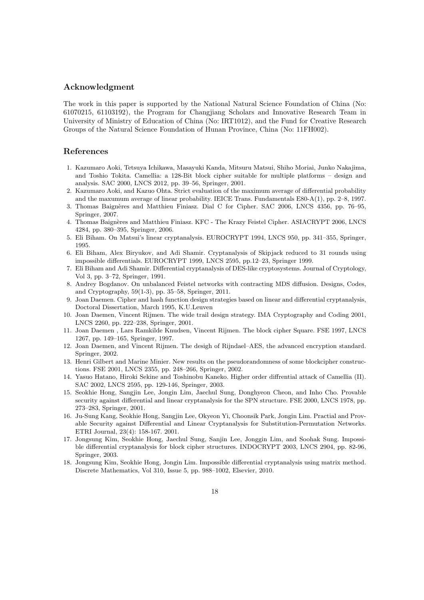## **Acknowledgment**

The work in this paper is supported by the National Natural Science Foundation of China (No: 61070215, 61103192), the Program for Changjiang Scholars and Innovative Research Team in University of Ministry of Education of China (No: IRT1012), and the Fund for Creative Research Groups of the Natural Science Foundation of Hunan Province, China (No: 11FH002).

# **References**

- 1. Kazumaro Aoki, Tetsuya Ichikawa, Masayuki Kanda, Mitsuru Matsui, Shiho Moriai, Junko Nakajima, and Toshio Tokita. Camellia: a 128-Bit block cipher suitable for multiple platforms – design and analysis. SAC 2000, LNCS 2012, pp. 39–56, Springer, 2001.
- 2. Kazumaro Aoki, and Kazuo Ohta. Strict evaluation of the maximum average of differential probability and the maxumum average of linear probability. IEICE Trans. Fundamentals E80-A(1), pp. 2–8, 1997.
- 3. Thomas Baign`eres and Matthieu Finiasz. Dial C for Cipher. SAC 2006, LNCS 4356, pp. 76–95, Springer, 2007.
- 4. Thomas Baignères and Matthieu Finiasz. KFC The Krazy Feistel Cipher. ASIACRYPT 2006, LNCS 4284, pp. 380–395, Springer, 2006.
- 5. Eli Biham. On Matsui's linear cryptanalysis. EUROCRYPT 1994, LNCS 950, pp. 341–355, Springer, 1995.
- 6. Eli Biham, Alex Biryukov, and Adi Shamir. Cryptanalysis of Skipjack reduced to 31 rounds using impossible differentials. EUROCRYPT 1999, LNCS 2595, pp.12–23, Springer 1999.
- 7. Eli Biham and Adi Shamir. Differential cryptanalysis of DES-like cryptosystems. Journal of Cryptology, Vol 3, pp. 3–72, Springer, 1991.
- 8. Andrey Bogdanov. On unbalanced Feistel networks with contracting MDS diffusion. Designs, Codes, and Cryptography, 59(1-3), pp. 35–58, Springer, 2011.
- 9. Joan Daemen. Cipher and hash function design strategies based on linear and differential cryptanalysis, Doctoral Dissertation, March 1995, K.U.Leuven
- 10. Joan Daemen, Vincent Rijmen. The wide trail design strategy. IMA Cryptography and Coding 2001, LNCS 2260, pp. 222–238, Springer, 2001.
- 11. Joan Daemen , Lars Ramkilde Knudsen, Vincent Rijmen. The block cipher Square. FSE 1997, LNCS 1267, pp. 149–165, Springer, 1997.
- 12. Joan Daemen, and Vincent Rijmen. The desigh of Rijndael–AES, the advanced encryption standard. Springer, 2002.
- 13. Henri Gilbert and Marine Minier. New results on the pseudorandomness of some blockcipher constructions. FSE 2001, LNCS 2355, pp. 248–266, Springer, 2002.
- 14. Yasuo Hatano, Hiroki Sekine and Toshinobu Kaneko. Higher order diffrential attack of Camellia (II). SAC 2002, LNCS 2595, pp. 129-146, Springer, 2003.
- 15. Seokhie Hong, Sangjin Lee, Jongin Lim, Jaechul Sung, Donghyeon Cheon, and Inho Cho. Provable security against differential and linear cryptanalysis for the SPN structure. FSE 2000, LNCS 1978, pp. 273–283, Springer, 2001.
- 16. Ju-Sung Kang, Seokhie Hong, Sangjin Lee, Okyeon Yi, Choonsik Park, Jongin Lim. Practial and Provable Security against Differential and Linear Cryptanalysis for Substitution-Permutation Networks. ETRI Journal, 23(4): 158-167. 2001.
- 17. Jongsung Kim, Seokhie Hong, Jaechul Sung, Sanjin Lee, Jonggin Lim, and Soohak Sung. Impossible differential cryptanalysis for block cipher structures. INDOCRYPT 2003, LNCS 2904, pp. 82-96, Springer, 2003.
- 18. Jongsung Kim, Seokhie Hong, Jongin Lim. Impossible differential cryptanalysis using matrix method. Discrete Mathematics, Vol 310, Issue 5, pp. 988–1002, Elsevier, 2010.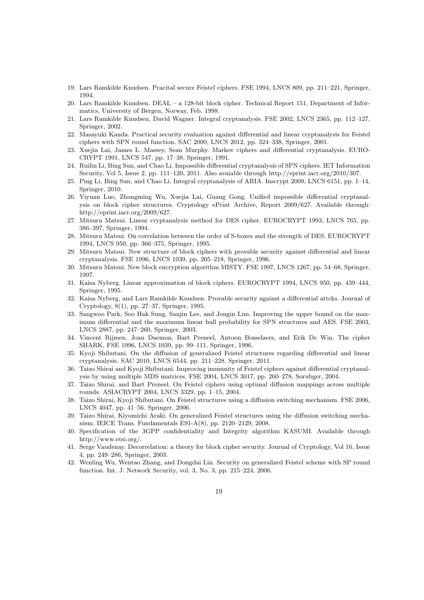- 19. Lars Ramkilde Knudsen. Pracital secure Feistel ciphers. FSE 1994, LNCS 809, pp. 211–221, Springer, 1994.
- 20. Lars Ramkilde Knudsen. DEAL a 128-bit block cipher. Technical Report 151, Department of Informatics, University of Bergen, Norway, Feb. 1998.
- 21. Lars Ramkilde Knudsen, David Wagner. Integral cryptanalysis. FSE 2002, LNCS 2365, pp. 112–127, Springer, 2002.
- 22. Masayuki Kanda. Practical security evaluation against differential and linear cryptanalysis for Feistel ciphers with SPN round function. SAC 2000, LNCS 2012, pp. 324–338, Springer, 2001.
- 23. Xuejia Lai, James L. Massey, Sean Murphy. Markov ciphers and differential cryptanalysis. EURO-CRYPT 1991, LNCS 547, pp. 17–38, Springer, 1991.
- 24. Ruilin Li, Bing Sun, and Chao Li. Impossible differential cryptanalysis of SPN ciphers. IET Information Security, Vol 5, Issue 2, pp. 111–120, 2011. Also avaiable through http://eprint.iacr.org/2010/307.
- 25. Ping Li, Bing Sun, and Chao Li. Integral cryptanalysis of ARIA. Inscrypt 2009, LNCS 6151, pp. 1–14, Springer, 2010.
- 26. Yiyuan Luo, Zhongming Wu, Xuejia Lai, Guang Gong. Unified impossible differential cryptanalysis on block cipher structures. Cryptology ePrint Archive, Report 2009/627. Available through: http://eprint.iacr.org/2009/627.
- 27. Mitsuru Matsui. Linear cryptanalysis method for DES cipher. EUROCRYPT 1993, LNCS 765, pp. 386–397, Springer, 1994.
- 28. Mitsuru Matsui. On correlation between the order of S-boxes and the strength of DES. EUROCRYPT 1994, LNCS 950, pp. 366–375, Springer, 1995.
- 29. Mitsuru Matsui. New structure of block ciphers with provable security against differential and linear cryptanalysis. FSE 1996, LNCS 1039, pp. 205–218, Springer, 1996.
- 30. Mitsuru Matsui. New block encryption algorithm MISTY. FSE 1997, LNCS 1267, pp. 54–68, Springer, 1997.
- 31. Kaisa Nyberg. Linear approximation of block ciphers. EUROCRYPT 1994, LNCS 950, pp. 439–444, Springer, 1995.
- 32. Kaisa Nyberg, and Lars Ramkilde Knudsen. Provable security against a differential attcks. Journal of Cryptology, 8(1), pp. 27–37, Springer, 1995.
- 33. Sangwoo Park, Soo Hak Sung, Sanjin Lee, and Jongin Lim. Improving the upper bound on the maximum differential and the maximum linear hull probability for SPN structures and AES. FSE 2003, LNCS 2887, pp. 247–260, Springer, 2003.
- 34. Vincent Rijmen, Joan Daemon, Bart Preneel, Antoon Bosselaers, and Erik De Win. The cipher SHARK, FSE 1996, LNCS 1039, pp. 99–111, Springer, 1996.
- 35. Kyoji Shibutani. On the diffusion of generalized Feistel structures regarding differential and linear cryptanalysis. SAC 2010, LNCS 6544, pp. 211–228, Springer, 2011.
- 36. Taizo Shirai and Kyoji Shibutani. Improving immunity of Feistel ciphers against differential cryptanalysis by using multiple MDS matrices. FSE 2004, LNCS 3017, pp. 260–278, Sorubger, 2004.
- 37. Taizo Shirai, and Bart Preneel. On Feistel ciphers using optimal diffusion mappings across multiple rounds. ASIACRYPT 2004, LNCS 3329, pp. 1–15, 2004.
- 38. Taizo Shirai, Kyoji Shibutani. On Feistel structures using a diffusion switching mechanism. FSE 2006, LNCS 4047, pp. 41–56. Springer, 2006.
- 39. Taizo Shirai, Kiyomichi Araki. On generalized Feistel structures using the diffusion switching mechanism. IEICE Trans. Fundamentals E91-A(8), pp. 2120–2129, 2008.
- 40. Specification of the 3GPP confidentiality and Integrity algorithm KASUMI. Available through http://www.etsi.org/.
- 41. Serge Vaudenay. Decorrelation: a theory for block cipher security. Journal of Cryptology, Vol 16, Issue 4, pp. 249–286, Springer, 2003.
- 42. Wenling Wu, Wentao Zhang, and Dongdai Lin. Security on generalized Feistel scheme with SP round function. Int. J. Network Security, vol. 3, No. 3, pp. 215–224, 2006.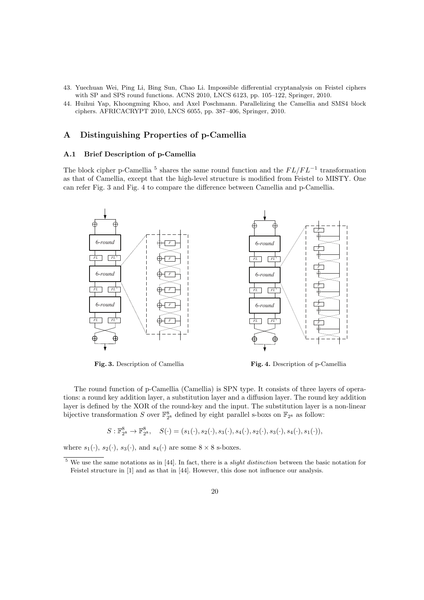- 43. Yuechuan Wei, Ping Li, Bing Sun, Chao Li. Impossible differential cryptanalysis on Feistel ciphers with SP and SPS round functions. ACNS 2010, LNCS 6123, pp. 105–122, Springer, 2010.
- 44. Huihui Yap, Khoongming Khoo, and Axel Poschmann. Parallelizing the Camellia and SMS4 block ciphers. AFRICACRYPT 2010, LNCS 6055, pp. 387–406, Springer, 2010.

# **A Distinguishing Properties of p-Camellia**

# **A.1 Brief Description of p-Camellia**

The block cipher p-Camellia<sup>5</sup> shares the same round function and the  $FL/FL<sup>−1</sup>$  transformation as that of Camellia, except that the high-level structure is modified from Feistel to MISTY. One can refer Fig. 3 and Fig. 4 to compare the difference between Camellia and p-Camellia.



**Fig. 4.** Description of p-Camellia

The round function of p-Camellia (Camellia) is SPN type. It consists of three layers of operations: a round key addition layer, a substitution layer and a diffusion layer. The round key addition layer is defined by the XOR of the round-key and the input. The substitution layer is a non-linear bijective transformation *S* over  $\mathbb{F}_{2^8}^8$  defined by eight parallel s-boxs on  $\mathbb{F}_{2^8}$  as follow:

 $S: \mathbb{F}_{2^8}^8 \rightarrow \mathbb{F}_{2^8}^8, \quad S(\cdot) = (s_1(\cdot), s_2(\cdot), s_3(\cdot), s_4(\cdot), s_2(\cdot), s_3(\cdot), s_4(\cdot), s_1(\cdot)),$ 

where  $s_1(\cdot)$ ,  $s_2(\cdot)$ ,  $s_3(\cdot)$ , and  $s_4(\cdot)$  are some  $8 \times 8$  s-boxes.

<sup>5</sup> We use the same notations as in [44]. In fact, there is a *slight distinction* between the basic notation for Feistel structure in [1] and as that in [44]. However, this dose not influence our analysis.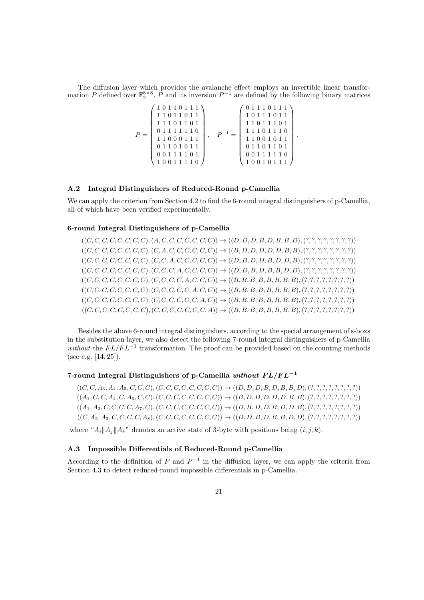The diffusion layer which provides the avalanche effect employs an invertible linear transformation *P* defined over  $\mathbb{F}_2^{8\times 8}$ .  $\hat{P}$  and its inversion  $P^{-1}$  are defined by the following binary matrices

$$
P = \left( \begin{array}{cccc} 1&0&1&1&0&1&1&1 \\ 1&1&0&1&1&0&1&1 \\ 1&1&1&0&1&1&0&1 \\ 0&1&1&1&1&1&1&0 \\ 1&1&0&0&0&1&1&1 \\ 0&1&1&0&1&0&1&1 \\ 0&0&1&1&1&1&0&1 \end{array} \right), \quad P^{-1} = \left( \begin{array}{cccc} 0&1&1&1&0&1&1&1 \\ 1&0&1&1&1&0&1&1 \\ 1&1&0&1&1&1&0&1 \\ 1&1&0&1&1&1&0&1 \\ 1&1&0&0&1&0&1&1 \\ 0&1&1&0&1&1&0&1 \\ 0&0&1&1&1&1&1&0 \\ 1&0&0&1&0&1&1&1 \end{array} \right)
$$

*.*

### **A.2 Integral Distinguishers of Reduced-Round p-Camellia**

We can apply the criterion from Section 4.2 to find the 6-round integral distinguishers of p-Camellia, all of which have been verified experimentally.

#### **6-round Integral Distinguishers of p-Camellia**

 $((C, C, C, C, C, C, C, C), (A, C, C, C, C, C, C, C, C)) \rightarrow ((D, D, D, B, D, B, B, D), (?, 7, ?, ?, ?, ?, ?))$  $((C, C, C, C, C, C, C, C), (C, A, C, C, C, C, C, C)) \rightarrow ((B, D, D, D, D, B, B), (?,?,?,?,?,?,?,?),'))$  $((C, C, C, C, C, C, C, C), (C, C, A, C, C, C, C, C)) \rightarrow ((D, B, D, D, B, D, D, B), (?,?,?,?,?,?,?,),'))$  $((C, C, C, C, C, C, C, C), (C, C, C, A, C, C, C, C)) \rightarrow ((D, D, B, D, B, B, D, D), (?,?,?,?,?,?,?,?,),'))$  $((C, C, C, C, C, C, C, C), (C, C, C, C, A, C, C, C))$   $\rightarrow ((B, B, B, B, B, B, B, B, C, C, C, C, T, T, T, T, T, T, T, T))$  $((C, C, C, C, C, C, C, C), (C, C, C, C, C, C, A, C, C)) \rightarrow ((B, B, B, B, B, B, B, B), (?,?,?,?,?,?,?,),'))$  $((C, C, C, C, C, C, C, C), (C, C, C, C, C, C, C, C, A, C)) \rightarrow ((B, B, B, B, B, B, B, B), (?,?,?,?,?,?,?,?,),'))$  $((C, C, C, C, C, C, C, C, C), ((C, C, C, C, C, C, C, C, A)) \rightarrow ((B, B, B, B, B, B, B, B), ((?,?,?,?,?,?,?,),'))$ 

Besides the above 6-round integral distinguishers, according to the special arrangement of s-boxs in the substitution layer, we also detect the following 7-round integral distinguishers of p-Camellia *without* the  $FL/FL^{-1}$  transformation. The proof can be provided based on the counting methods (see e.g. [14, 25]).

# **7-round Integral Distinguishers of p-Camellia** *without F L/F L−***<sup>1</sup>**

 $((C, C, A_3, A_4, A_5, C, C, C), (C, C, C, C, C, C, C, C)) \rightarrow ((D, D, D, B, D, B, D), (?,?,?,?,?,?,?,),'))$ ((*A*1*, C, C, A*4*, C, A*6*, C, C*)*,*(*C, C, C, C, C, C, C, C*)) *→* ((*B, D, D, D, D, D, B, B*)*,*(?*,* ?*,* ?*,* ?*,* ?*,* ?*,* ?*,* ?))  $((A_1, A_2, C, C, C, C, A_7, C), (C, C, C, C, C, C, C, C)) \rightarrow ((D, B, D, D, B, D, D, B), (?,?,?,?,?,?,?,),'))$  $((C, A_2, A_3, C, C, C, C, A_8), (C, C, C, C, C, C, C, C)) \rightarrow ((D, D, B, D, B, B, D, D), (?,?,?,?,?,?,?,),'))$ 

where " $A_i||A_j||A_k$ " denotes an active state of 3-byte with positions being  $(i, j, k)$ .

# **A.3 Impossible Differentials of Reduced-Round p-Camellia**

According to the definition of *P* and  $P^{-1}$  in the diffusion layer, we can apply the criteria from Section 4.3 to detect reduced-round impossible differentials in p-Camellia.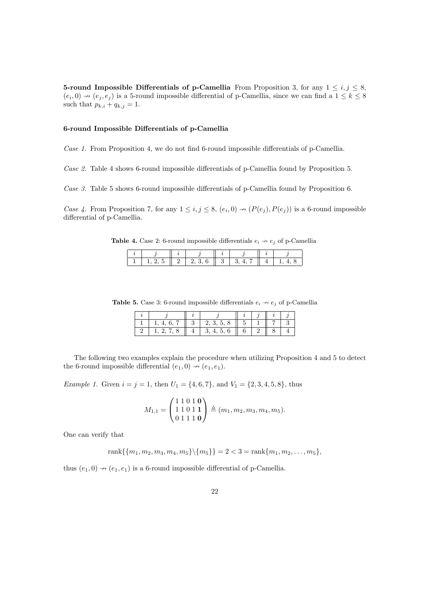**5-round Impossible Differentials of p-Camellia** From Proposition 3, for any  $1 \leq i, j \leq 8$ ,  $(e_i, 0) \nrightarrow (e_j, e_j)$  is a 5-round impossible differential of p-Camellia, since we can find a  $1 \leq k \leq 8$ such that  $p_{k,i} + q_{k,j} = 1$ .

## **6-round Impossible Differentials of p-Camellia**

*Case 1.* From Proposition 4, we do not find 6-round impossible differentials of p-Camellia.

*Case 2.* Table 4 shows 6-round impossible differentials of p-Camellia found by Proposition 5.

*Case 3.* Table 5 shows 6-round impossible differentials of p-Camellia found by Proposition 6.

*Case 4.* From Proposition 7, for any  $1 \leq i, j \leq 8$ ,  $(e_i, 0) \rightarrow (P(e_j), P(e_j))$  is a 6-round impossible differential of p-Camellia.

**Table 4.** Case 2: 6-round impossible differentials  $e_i \rightarrow e_j$  of p-Camellia

**Table 5.** Case 3: 6-round impossible differentials  $e_i \nrightarrow e_j$  of p-Camellia

|      | 1, 2, 3, 5, 8 |  |  |
|------|---------------|--|--|
| 1978 | 3, 4, 5, 6    |  |  |

The following two examples explain the procedure when utilizing Proposition 4 and 5 to detect the 6-round impossible differential  $(e_1, 0) \rightarrow (e_1, e_1)$ .

*Example 1.* Given  $i = j = 1$ , then  $U_1 = \{4, 6, 7\}$ , and  $V_1 = \{2, 3, 4, 5, 8\}$ , thus

$$
M_{1,1} = \begin{pmatrix} 1 & 1 & 0 & 1 & \mathbf{0} \\ 1 & 1 & 0 & 1 & \mathbf{1} \\ 0 & 1 & 1 & 1 & \mathbf{0} \end{pmatrix} \triangleq (m_1, m_2, m_3, m_4, m_5).
$$

One can verify that

rank
$$
\{m_1, m_2, m_3, m_4, m_5\}
$$
  $\setminus \{m_5\}$  = 2 < 3 = rank $\{m_1, m_2, ..., m_5\}$ ,

thus  $(e_1, 0) \rightarrow (e_1, e_1)$  is a 6-round impossible differential of p-Camellia.